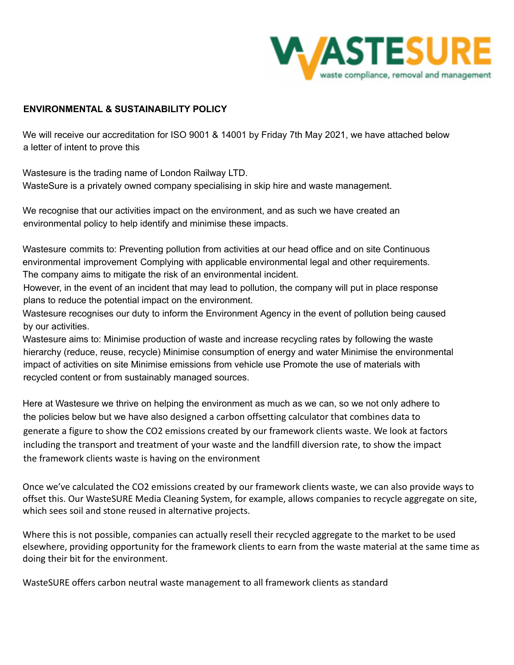

## **ENVIRONMENTAL & SUSTAINABILITY POLICY**

We will receive our accreditation for ISO 9001 & 14001 by Friday 7th May 2021, we have attached below a letter of intent to prove this

Wastesure is the trading name of London Railway LTD. WasteSure is a privately owned company specialising in skip hire and waste management.

We recognise that our activities impact on the environment, and as such we have created an environmental policy to help identify and minimise these impacts.

Wastesure commits to: Preventing pollution from activities at our head office and on site Continuous environmental improvement Complying with applicable environmental legal and other requirements. The company aims to mitigate the risk of an environmental incident.

However, in the event of an incident that may lead to pollution, the company will put in place response plans to reduce the potential impact on the environment.

Wastesure recognises our duty to inform the Environment Agency in the event of pollution being caused by our activities.

Wastesure aims to: Minimise production of waste and increase recycling rates by following the waste hierarchy (reduce, reuse, recycle) Minimise consumption of energy and water Minimise the environmental impact of activities on site Minimise emissions from vehicle use Promote the use of materials with recycled content or from sustainably managed sources.

Here at Wastesure we thrive on helping the environment as much as we can, so we not only adhere to the policies below but we have also designed a carbon offsetting calculator that combines data to generate a figure to show the CO2 emissions created by our framework clients waste. We look at factors including the transport and treatment of your waste and the landfill diversion rate, to show the impact the framework clients waste is having on the environment

Once we've calculated the CO2 emissions created by our framework clients waste, we can also provide ways to offset this. Our WasteSURE Media Cleaning System, for example, allows companies to recycle aggregate on site, which sees soil and stone reused in alternative projects.

Where this is not possible, companies can actually resell their recycled aggregate to the market to be used elsewhere, providing opportunity for the framework clients to earn from the waste material at the same time as doing their bit for the environment.

WasteSURE offers carbon neutral waste management to all framework clients as standard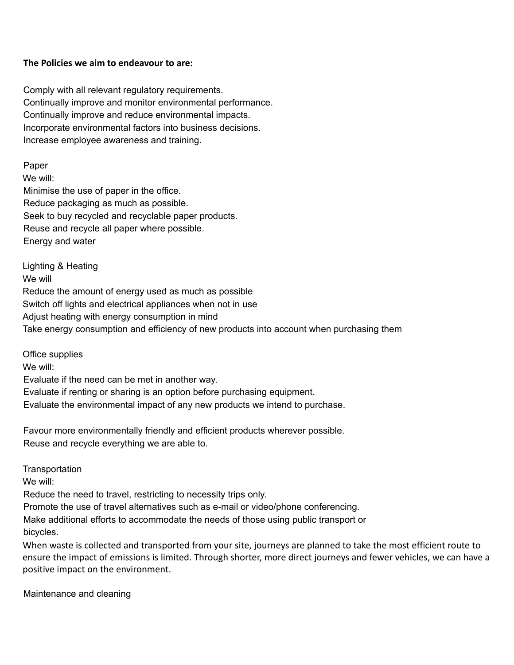## **The Policies we aim to endeavour to are:**

Comply with all relevant regulatory requirements. Continually improve and monitor environmental performance. Continually improve and reduce environmental impacts. Incorporate environmental factors into business decisions. Increase employee awareness and training.

Paper We will: Minimise the use of paper in the office. Reduce packaging as much as possible. Seek to buy recycled and recyclable paper products. Reuse and recycle all paper where possible. Energy and water

Lighting & Heating We will Reduce the amount of energy used as much as possible Switch off lights and electrical appliances when not in use Adjust heating with energy consumption in mind Take energy consumption and efficiency of new products into account when purchasing them

Office supplies We will: Evaluate if the need can be met in another way. Evaluate if renting or sharing is an option before purchasing equipment. Evaluate the environmental impact of any new products we intend to purchase.

Favour more environmentally friendly and efficient products wherever possible. Reuse and recycle everything we are able to.

**Transportation** 

We will:

Reduce the need to travel, restricting to necessity trips only.

Promote the use of travel alternatives such as e-mail or video/phone conferencing.

Make additional efforts to accommodate the needs of those using public transport or bicycles.

When waste is collected and transported from your site, journeys are planned to take the most efficient route to ensure the impact of emissions is limited. Through shorter, more direct journeys and fewer vehicles, we can have a positive impact on the environment.

Maintenance and cleaning